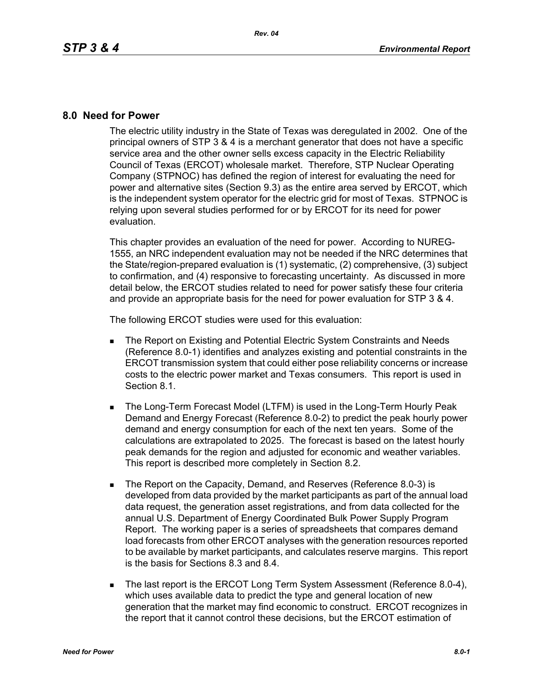## **8.0 Need for Power**

The electric utility industry in the State of Texas was deregulated in 2002. One of the principal owners of STP 3 & 4 is a merchant generator that does not have a specific service area and the other owner sells excess capacity in the Electric Reliability Council of Texas (ERCOT) wholesale market. Therefore, STP Nuclear Operating Company (STPNOC) has defined the region of interest for evaluating the need for power and alternative sites (Section 9.3) as the entire area served by ERCOT, which is the independent system operator for the electric grid for most of Texas. STPNOC is relying upon several studies performed for or by ERCOT for its need for power evaluation.

This chapter provides an evaluation of the need for power. According to NUREG-1555, an NRC independent evaluation may not be needed if the NRC determines that the State/region-prepared evaluation is (1) systematic, (2) comprehensive, (3) subject to confirmation, and (4) responsive to forecasting uncertainty. As discussed in more detail below, the ERCOT studies related to need for power satisfy these four criteria and provide an appropriate basis for the need for power evaluation for STP 3 & 4.

The following ERCOT studies were used for this evaluation:

- **The Report on Existing and Potential Electric System Constraints and Needs** (Reference 8.0-1) identifies and analyzes existing and potential constraints in the ERCOT transmission system that could either pose reliability concerns or increase costs to the electric power market and Texas consumers. This report is used in Section 8.1.
- **The Long-Term Forecast Model (LTFM) is used in the Long-Term Hourly Peak** Demand and Energy Forecast (Reference 8.0-2) to predict the peak hourly power demand and energy consumption for each of the next ten years. Some of the calculations are extrapolated to 2025. The forecast is based on the latest hourly peak demands for the region and adjusted for economic and weather variables. This report is described more completely in Section 8.2.
- The Report on the Capacity, Demand, and Reserves (Reference 8.0-3) is developed from data provided by the market participants as part of the annual load data request, the generation asset registrations, and from data collected for the annual U.S. Department of Energy Coordinated Bulk Power Supply Program Report. The working paper is a series of spreadsheets that compares demand load forecasts from other ERCOT analyses with the generation resources reported to be available by market participants, and calculates reserve margins. This report is the basis for Sections 8.3 and 8.4.
- The last report is the ERCOT Long Term System Assessment (Reference 8.0-4), which uses available data to predict the type and general location of new generation that the market may find economic to construct. ERCOT recognizes in the report that it cannot control these decisions, but the ERCOT estimation of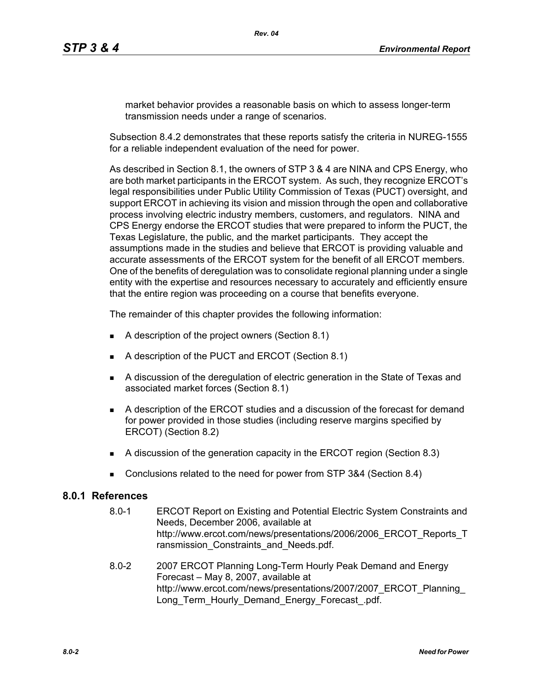market behavior provides a reasonable basis on which to assess longer-term transmission needs under a range of scenarios.

Subsection 8.4.2 demonstrates that these reports satisfy the criteria in NUREG-1555 for a reliable independent evaluation of the need for power.

As described in Section 8.1, the owners of STP 3 & 4 are NINA and CPS Energy, who are both market participants in the ERCOT system. As such, they recognize ERCOT's legal responsibilities under Public Utility Commission of Texas (PUCT) oversight, and support ERCOT in achieving its vision and mission through the open and collaborative process involving electric industry members, customers, and regulators. NINA and CPS Energy endorse the ERCOT studies that were prepared to inform the PUCT, the Texas Legislature, the public, and the market participants. They accept the assumptions made in the studies and believe that ERCOT is providing valuable and accurate assessments of the ERCOT system for the benefit of all ERCOT members. One of the benefits of deregulation was to consolidate regional planning under a single entity with the expertise and resources necessary to accurately and efficiently ensure that the entire region was proceeding on a course that benefits everyone.

The remainder of this chapter provides the following information:

- A description of the project owners (Section 8.1)
- A description of the PUCT and ERCOT (Section 8.1)
- A discussion of the deregulation of electric generation in the State of Texas and associated market forces (Section 8.1)
- A description of the ERCOT studies and a discussion of the forecast for demand for power provided in those studies (including reserve margins specified by ERCOT) (Section 8.2)
- A discussion of the generation capacity in the ERCOT region (Section 8.3)
- Conclusions related to the need for power from STP 3&4 (Section 8.4)

## **8.0.1 References**

- 8.0-1 ERCOT Report on Existing and Potential Electric System Constraints and Needs, December 2006, available at http://www.ercot.com/news/presentations/2006/2006\_ERCOT\_Reports\_T ransmission Constraints and Needs.pdf.
- 8.0-2 [2007 ERCOT Planning Long-Term Hourly Peak Demand and Energy](http://www.ercot.com/news/presentations/2007/2007_ERCOT_Planning_Long_Term_Hourly_Demand_Energy_Forecast_.pdf)  Forecast – May 8, 2007, available at [http://www.ercot.com/news/presentations/2007/2007\\_ERCOT\\_Planning\\_](http://www.ercot.com/news/presentations/2007/2007_ERCOT_Planning_Long_Term_Hourly_Demand_Energy_Forecast_.pdf) Long Term Hourly Demand Energy Forecast .pdf.